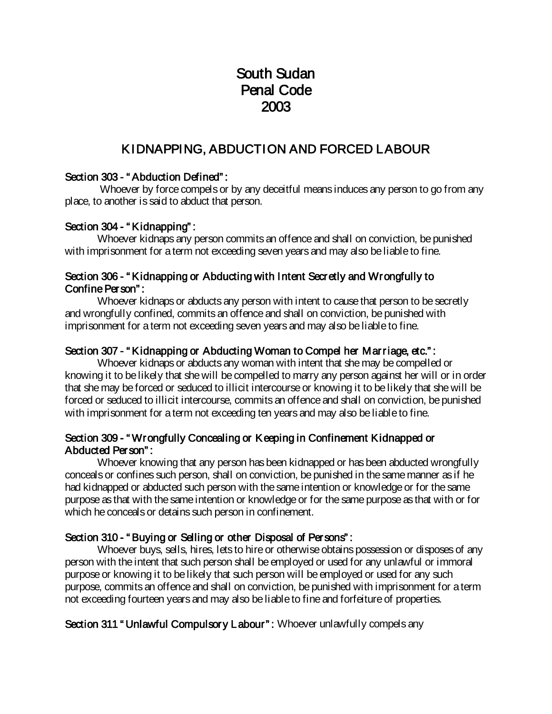# South Sudan Penal Code 2003

## KIDNAPPING, ABDUCTION AND FORCED LABOUR

## Section 303 - "Abduction Defined":

Whoever by force compels or by any deceitful means induces any person to go from any place, to another is said to abduct that person.

## Section 304 - "Kidnapping":

Whoever kidnaps any person commits an offence and shall on conviction, be punished with imprisonment for a term not exceeding seven years and may also be liable to fine.

#### Section 306 - " Kidnapping or Abducting with Intent Secretly and Wrongfully to Confine Person" :

Whoever kidnaps or abducts any person with intent to cause that person to be secretly and wrongfully confined, commits an offence and shall on conviction, be punished with imprisonment for a term not exceeding seven years and may also be liable to fine.

## Section 307 - "Kidnapping or Abducting Woman to Compel her Marriage, etc.":

Whoever kidnaps or abducts any woman with intent that she may be compelled or knowing it to be likely that she will be compelled to marry any person against her will or in order that she may be forced or seduced to illicit intercourse or knowing it to be likely that she will be forced or seduced to illicit intercourse, commits an offence and shall on conviction, be punished with imprisonment for a term not exceeding ten years and may also be liable to fine.

## Section 309 - " Wrongfully Concealing or Keeping in Confinement Kidnapped or Abducted Person" :

Whoever knowing that any person has been kidnapped or has been abducted wrongfully conceals or confines such person, shall on conviction, be punished in the same manner as if he had kidnapped or abducted such person with the same intention or knowledge or for the same purpose as that with the same intention or knowledge or for the same purpose as that with or for which he conceals or detains such person in confinement.

## Section 310 - "Buying or Selling or other Disposal of Persons":

Whoever buys, sells, hires, lets to hire or otherwise obtains possession or disposes of any person with the intent that such person shall be employed or used for any unlawful or immoral purpose or knowing it to be likely that such person will be employed or used for any such purpose, commits an offence and shall on conviction, be punished with imprisonment for a term not exceeding fourteen years and may also be liable to fine and forfeiture of properties.

Section 311 " Unlawful Compulsory Labour": Whoever unlawfully compels any